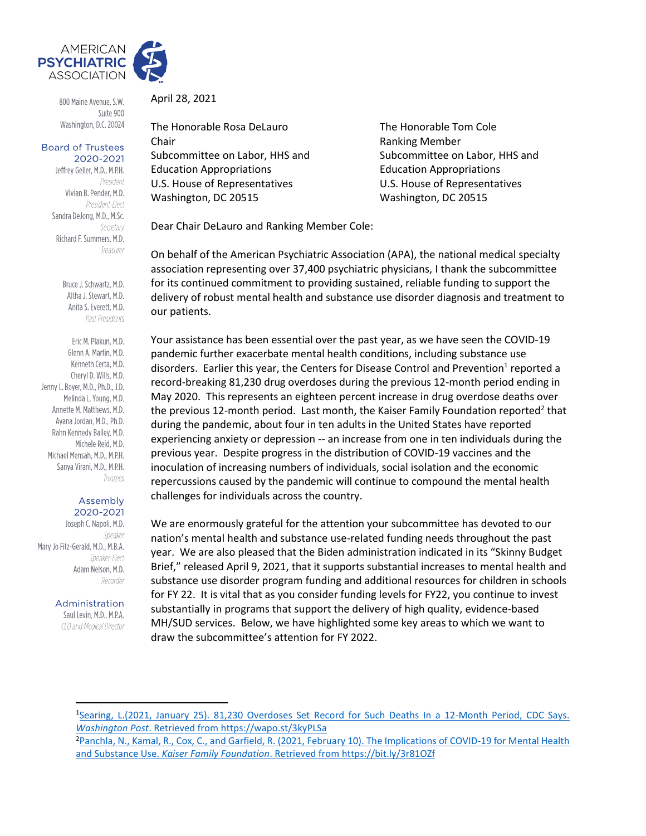

800 Maine Avenue, S.W. Suite 900 Washington, D.C. 20024

#### **Board of Trustees** 2020-2021

Jeffrey Geller, M.D., M.P.H. President Vivian B. Pender, M.D. President-Elect Sandra DeJong, M.D., M.Sc. Secretary Richard F. Summers, M.D. Treasurer

> Bruce J. Schwartz, M.D. Altha J. Stewart, M.D. Anita S. Everett, M.D. Past Presidents

Eric M. Plakun, M.D. Glenn A. Martin, M.D. Kenneth Certa, M.D. Cheryl D. Wills, M.D. Jenny L. Boyer, M.D., Ph.D., J.D. Melinda L. Young, M.D. Annette M. Matthews, M.D. Avana Jordan, M.D., Ph.D. Rahn Kennedy Bailey, M.D. Michele Reid, M.D. Michael Mensah, M.D., M.P.H. Sanya Virani, M.D., M.P.H. Trustees

#### Assembly 2020-2021

Joseph C. Napoli, M.D. Speaker Mary Jo Fitz-Gerald, M.D., M.B.A. Speaker-Flect Adam Nelson, M.D. Recorder

Administration

Saul Levin, M.D., M.P.A. CEO and Medical Director April 28, 2021

The Honorable Rosa DeLauro The Honorable Tom Cole Chair **Chair Chair Ranking Member** Subcommittee on Labor, HHS and Subcommittee on Labor, HHS and Education Appropriations Education Appropriations U.S. House of Representatives U.S. House of Representatives Washington, DC 20515 Washington, DC 20515

Dear Chair DeLauro and Ranking Member Cole:

On behalf of the American Psychiatric Association (APA), the national medical specialty association representing over 37,400 psychiatric physicians, I thank the subcommittee for its continued commitment to providing sustained, reliable funding to support the delivery of robust mental health and substance use disorder diagnosis and treatment to our patients.

Your assistance has been essential over the past year, as we have seen the COVID-19 pandemic further exacerbate mental health conditions, including substance use disorders. Earlier this year, the Centers for Disease Control and Prevention<sup>1</sup> reported a record-breaking 81,230 drug overdoses during the previous 12-month period ending in May 2020. This represents an eighteen percent increase in drug overdose deaths over the previous 12-month period. Last month, the Kaiser Family Foundation reported<sup>2</sup> that during the pandemic, about four in ten adults in the United States have reported experiencing anxiety or depression -- an increase from one in ten individuals during the previous year. Despite progress in the distribution of COVID-19 vaccines and the inoculation of increasing numbers of individuals, social isolation and the economic repercussions caused by the pandemic will continue to compound the mental health challenges for individuals across the country.

We are enormously grateful for the attention your subcommittee has devoted to our nation's mental health and substance use-related funding needs throughout the past year. We are also pleased that the Biden administration indicated in its "Skinny Budget Brief," released April 9, 2021, that it supports substantial increases to mental health and substance use disorder program funding and additional resources for children in schools for FY 22. It is vital that as you consider funding levels for FY22, you continue to invest substantially in programs that support the delivery of high quality, evidence-based MH/SUD services. Below, we have highlighted some key areas to which we want to draw the subcommittee's attention for FY 2022.

<sup>1</sup>Searing, L.(2021, January 25). 81,230 Overdoses Set Record for Such Deaths In a 12-Month Period, CDC Says. *Washington Post*. Retrieved from https://wapo.st/3kyPLSa

<sup>2</sup>Panchla, N., Kamal, R., Cox, C., and Garfield, R. (2021, February 10). The Implications of COVID-19 for Mental Health and Substance Use. *Kaiser Family Foundation*. Retrieved from <https://bit.ly/3r81OZf>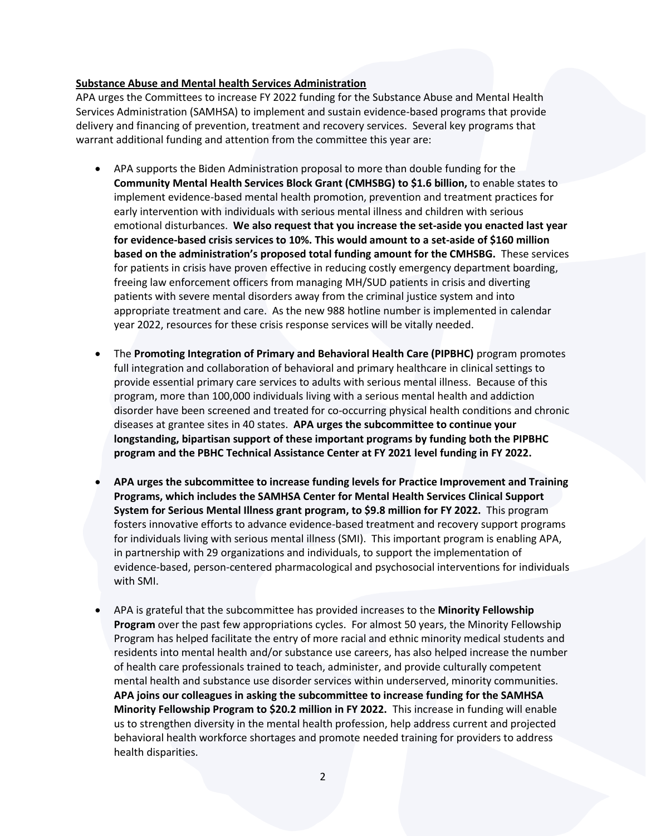### **Substance Abuse and Mental health Services Administration**

APA urges the Committees to increase FY 2022 funding for the Substance Abuse and Mental Health Services Administration (SAMHSA) to implement and sustain evidence-based programs that provide delivery and financing of prevention, treatment and recovery services. Several key programs that warrant additional funding and attention from the committee this year are:

- APA supports the Biden Administration proposal to more than double funding for the **Community Mental Health Services Block Grant (CMHSBG) to \$1.6 billion,** to enable states to implement evidence-based mental health promotion, prevention and treatment practices for early intervention with individuals with serious mental illness and children with serious emotional disturbances. **We also request that you increase the set-aside you enacted last year for evidence-based crisis services to 10%. This would amount to a set-aside of \$160 million based on the administration's proposed total funding amount for the CMHSBG.** These services for patients in crisis have proven effective in reducing costly emergency department boarding, freeing law enforcement officers from managing MH/SUD patients in crisis and diverting patients with severe mental disorders away from the criminal justice system and into appropriate treatment and care. As the new 988 hotline number is implemented in calendar year 2022, resources for these crisis response services will be vitally needed.
- The **Promoting Integration of Primary and Behavioral Health Care (PIPBHC)** program promotes full integration and collaboration of behavioral and primary healthcare in clinical settings to provide essential primary care services to adults with serious mental illness. Because of this program, more than 100,000 individuals living with a serious mental health and addiction disorder have been screened and treated for co-occurring physical health conditions and chronic diseases at grantee sites in 40 states. **APA urges the subcommittee to continue your longstanding, bipartisan support of these important programs by funding both the PIPBHC program and the PBHC Technical Assistance Center at FY 2021 level funding in FY 2022.**
- **APA urges the subcommittee to increase funding levels for Practice Improvement and Training Programs, which includes the SAMHSA Center for Mental Health Services Clinical Support System for Serious Mental Illness grant program, to \$9.8 million for FY 2022.** This program fosters innovative efforts to advance evidence-based treatment and recovery support programs for individuals living with serious mental illness (SMI). This important program is enabling APA, in partnership with 29 organizations and individuals, to support the implementation of evidence-based, person-centered pharmacological and psychosocial interventions for individuals with SMI.
- APA is grateful that the subcommittee has provided increases to the **Minority Fellowship Program** over the past few appropriations cycles. For almost 50 years, the Minority Fellowship Program has helped facilitate the entry of more racial and ethnic minority medical students and residents into mental health and/or substance use careers, has also helped increase the number of health care professionals trained to teach, administer, and provide culturally competent mental health and substance use disorder services within underserved, minority communities. **APA joins our colleagues in asking the subcommittee to increase funding for the SAMHSA Minority Fellowship Program to \$20.2 million in FY 2022.** This increase in funding will enable us to strengthen diversity in the mental health profession, help address current and projected behavioral health workforce shortages and promote needed training for providers to address health disparities.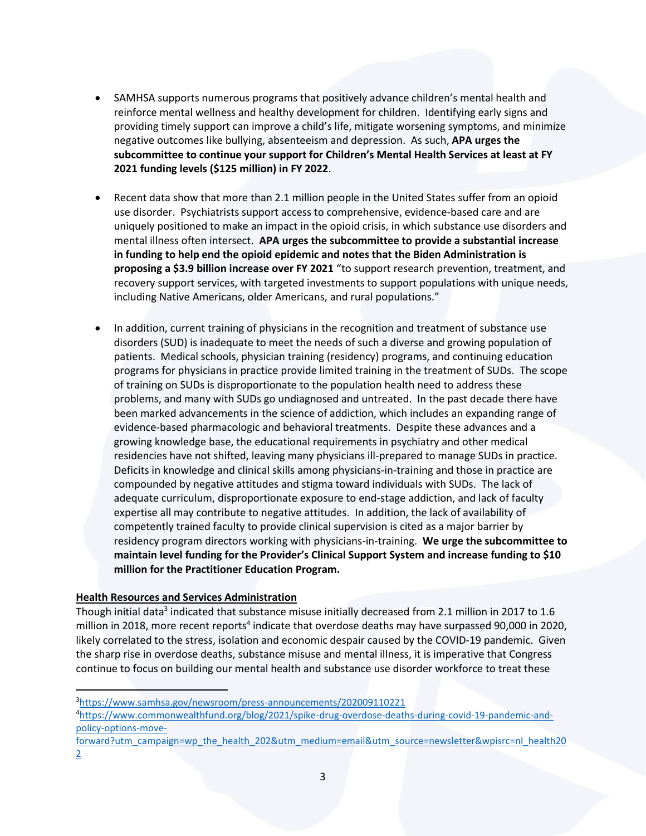- SAMHSA supports numerous programs that positively advance children's mental health and reinforce mental wellness and healthy development for children. Identifying early signs and providing timely support can improve a child's life, mitigate worsening symptoms, and minimize negative outcomes like bullying, absenteeism and depression. As such, **APA urges the subcommittee to continue your support for Children's Mental Health Services at least at FY 2021 funding levels (\$125 million) in FY 2022**.
- Recent data show that more than 2.1 million people in the United States suffer from an opioid use disorder. Psychiatrists support access to comprehensive, evidence-based care and are uniquely positioned to make an impact in the opioid crisis, in which substance use disorders and mental illness often intersect. **APA urges the subcommittee to provide a substantial increase in funding to help end the opioid epidemic and notes that the Biden Administration is proposing a \$3.9 billion increase over FY 2021** "to support research prevention, treatment, and recovery support services, with targeted investments to support populations with unique needs, including Native Americans, older Americans, and rural populations."
- In addition, current training of physicians in the recognition and treatment of substance use disorders (SUD) is inadequate to meet the needs of such a diverse and growing population of patients. Medical schools, physician training (residency) programs, and continuing education programs for physicians in practice provide limited training in the treatment of SUDs. The scope of training on SUDs is disproportionate to the population health need to address these problems, and many with SUDs go undiagnosed and untreated. In the past decade there have been marked advancements in the science of addiction, which includes an expanding range of evidence-based pharmacologic and behavioral treatments. Despite these advances and a growing knowledge base, the educational requirements in psychiatry and other medical residencies have not shifted, leaving many physicians ill-prepared to manage SUDs in practice. Deficits in knowledge and clinical skills among physicians-in-training and those in practice are compounded by negative attitudes and stigma toward individuals with SUDs. The lack of adequate curriculum, disproportionate exposure to end-stage addiction, and lack of faculty expertise all may contribute to negative attitudes. In addition, the lack of availability of competently trained faculty to provide clinical supervision is cited as a major barrier by residency program directors working with physicians-in-training. **We urge the subcommittee to maintain level funding for the Provider's Clinical Support System and increase funding to \$10 million for the Practitioner Education Program.**

## **Health Resources and Services Administration**

Though initial data<sup>3</sup> indicated that substance misuse initially decreased from 2.1 million in 2017 to 1.6 million in 2018, more recent reports<sup>4</sup> indicate that overdose deaths may have surpassed 90,000 in 2020, likely correlated to the stress, isolation and economic despair caused by the COVID-19 pandemic. Given the sharp rise in overdose deaths, substance misuse and mental illness, it is imperative that Congress continue to focus on building our mental health and substance use disorder workforce to treat these

[forward?utm\\_campaign=wp\\_the\\_health\\_202&utm\\_medium=email&utm\\_source=newsletter&wpisrc=nl\\_health20](https://www.commonwealthfund.org/blog/2021/spike-drug-overdose-deaths-during-covid-19-pandemic-and-policy-options-move-forward?utm_campaign=wp_the_health_202&utm_medium=email&utm_source=newsletter&wpisrc=nl_health202) [2](https://www.commonwealthfund.org/blog/2021/spike-drug-overdose-deaths-during-covid-19-pandemic-and-policy-options-move-forward?utm_campaign=wp_the_health_202&utm_medium=email&utm_source=newsletter&wpisrc=nl_health202)

<sup>3</sup><https://www.samhsa.gov/newsroom/press-announcements/202009110221>

<sup>4</sup>[https://www.commonwealthfund.org/blog/2021/spike-drug-overdose-deaths-during-covid-19-pandemic-and](https://www.commonwealthfund.org/blog/2021/spike-drug-overdose-deaths-during-covid-19-pandemic-and-policy-options-move-forward?utm_campaign=wp_the_health_202&utm_medium=email&utm_source=newsletter&wpisrc=nl_health202)[policy-options-move-](https://www.commonwealthfund.org/blog/2021/spike-drug-overdose-deaths-during-covid-19-pandemic-and-policy-options-move-forward?utm_campaign=wp_the_health_202&utm_medium=email&utm_source=newsletter&wpisrc=nl_health202)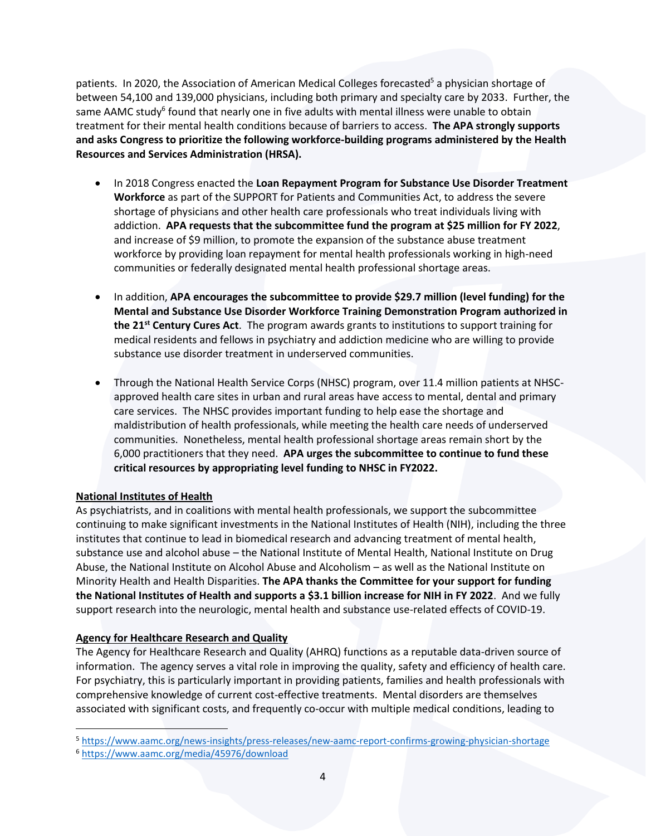patients. In 2020, the Association of American Medical Colleges forecasted<sup>5</sup> a physician shortage of between 54,100 and 139,000 physicians, including both primary and specialty care by 2033. Further, the same AAMC study<sup>6</sup> found that nearly one in five adults with mental illness were unable to obtain treatment for their mental health conditions because of barriers to access. **The APA strongly supports and asks Congress to prioritize the following workforce-building programs administered by the Health Resources and Services Administration (HRSA).**

- In 2018 Congress enacted the **Loan Repayment Program for Substance Use Disorder Treatment Workforce** as part of the SUPPORT for Patients and Communities Act, to address the severe shortage of physicians and other health care professionals who treat individuals living with addiction. **APA requests that the subcommittee fund the program at \$25 million for FY 2022**, and increase of \$9 million, to promote the expansion of the substance abuse treatment workforce by providing loan repayment for mental health professionals working in high-need communities or federally designated mental health professional shortage areas.
- In addition, **APA encourages the subcommittee to provide \$29.7 million (level funding) for the Mental and Substance Use Disorder Workforce Training Demonstration Program authorized in the 21st Century Cures Act**. The program awards grants to institutions to support training for medical residents and fellows in psychiatry and addiction medicine who are willing to provide substance use disorder treatment in underserved communities.
- Through the National Health Service Corps (NHSC) program, over 11.4 million patients at NHSCapproved health care sites in urban and rural areas have access to mental, dental and primary care services. The NHSC provides important funding to help ease the shortage and maldistribution of health professionals, while meeting the health care needs of underserved communities. Nonetheless, mental health professional shortage areas remain short by the 6,000 practitioners that they need. **APA urges the subcommittee to continue to fund these critical resources by appropriating level funding to NHSC in FY2022.**

# **National Institutes of Health**

As psychiatrists, and in coalitions with mental health professionals, we support the subcommittee continuing to make significant investments in the National Institutes of Health (NIH), including the three institutes that continue to lead in biomedical research and advancing treatment of mental health, substance use and alcohol abuse – the National Institute of Mental Health, National Institute on Drug Abuse, the National Institute on Alcohol Abuse and Alcoholism – as well as the National Institute on Minority Health and Health Disparities. **The APA thanks the Committee for your support for funding the National Institutes of Health and supports a \$3.1 billion increase for NIH in FY 2022**. And we fully support research into the neurologic, mental health and substance use-related effects of COVID-19.

# **Agency for Healthcare Research and Quality**

The Agency for Healthcare Research and Quality (AHRQ) functions as a reputable data-driven source of information. The agency serves a vital role in improving the quality, safety and efficiency of health care. For psychiatry, this is particularly important in providing patients, families and health professionals with comprehensive knowledge of current cost-effective treatments. Mental disorders are themselves associated with significant costs, and frequently co-occur with multiple medical conditions, leading to

<sup>5</sup> <https://www.aamc.org/news-insights/press-releases/new-aamc-report-confirms-growing-physician-shortage>

<sup>6</sup> <https://www.aamc.org/media/45976/download>